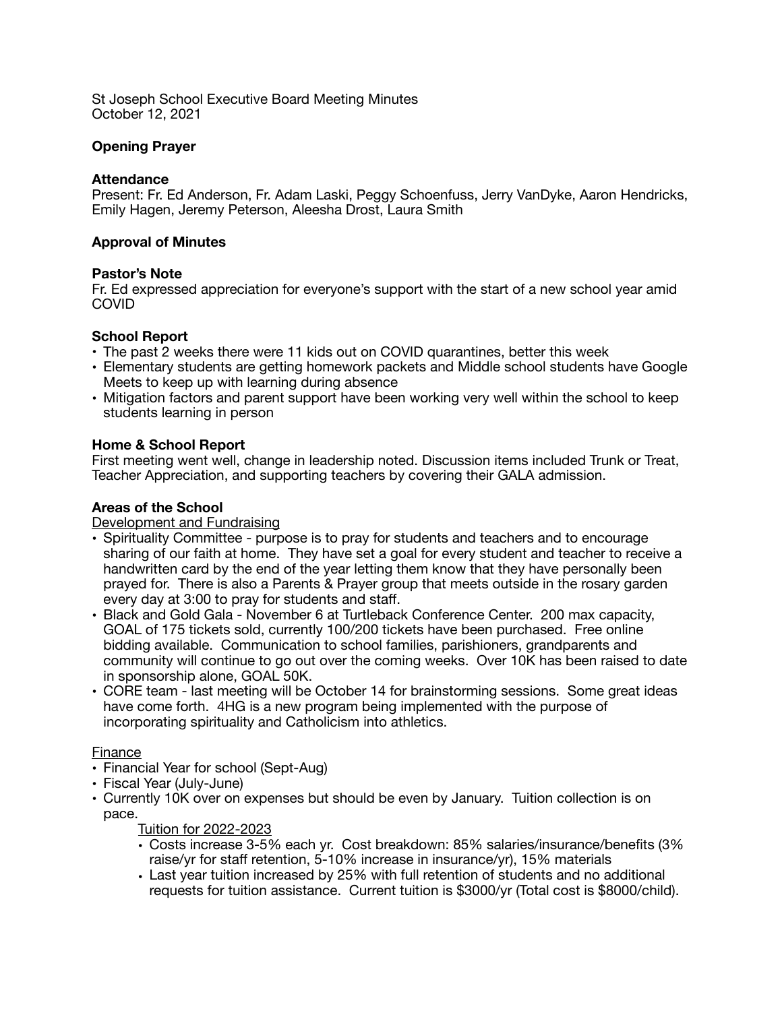St Joseph School Executive Board Meeting Minutes October 12, 2021

# **Opening Prayer**

### **Attendance**

Present: Fr. Ed Anderson, Fr. Adam Laski, Peggy Schoenfuss, Jerry VanDyke, Aaron Hendricks, Emily Hagen, Jeremy Peterson, Aleesha Drost, Laura Smith

### **Approval of Minutes**

#### **Pastor's Note**

Fr. Ed expressed appreciation for everyone's support with the start of a new school year amid COVID

### **School Report**

- **•** The past 2 weeks there were 11 kids out on COVID quarantines, better this week
- **•** Elementary students are getting homework packets and Middle school students have Google Meets to keep up with learning during absence
- **•** Mitigation factors and parent support have been working very well within the school to keep students learning in person

### **Home & School Report**

First meeting went well, change in leadership noted. Discussion items included Trunk or Treat, Teacher Appreciation, and supporting teachers by covering their GALA admission.

## **Areas of the School**

Development and Fundraising

- **•** Spirituality Committee purpose is to pray for students and teachers and to encourage sharing of our faith at home. They have set a goal for every student and teacher to receive a handwritten card by the end of the year letting them know that they have personally been prayed for. There is also a Parents & Prayer group that meets outside in the rosary garden every day at 3:00 to pray for students and staff.
- **•** Black and Gold Gala November 6 at Turtleback Conference Center. 200 max capacity, GOAL of 175 tickets sold, currently 100/200 tickets have been purchased. Free online bidding available. Communication to school families, parishioners, grandparents and community will continue to go out over the coming weeks. Over 10K has been raised to date in sponsorship alone, GOAL 50K.
- **•** CORE team last meeting will be October 14 for brainstorming sessions. Some great ideas have come forth. 4HG is a new program being implemented with the purpose of incorporating spirituality and Catholicism into athletics.

#### Finance

- **•** Financial Year for school (Sept-Aug)
- **•** Fiscal Year (July-June)
- **•** Currently 10K over on expenses but should be even by January. Tuition collection is on pace.

Tuition for 2022-2023

- **•** Costs increase 3-5% each yr. Cost breakdown: 85% salaries/insurance/benefits (3% raise/yr for staff retention, 5-10% increase in insurance/yr), 15% materials
- **•** Last year tuition increased by 25% with full retention of students and no additional requests for tuition assistance. Current tuition is \$3000/yr (Total cost is \$8000/child).